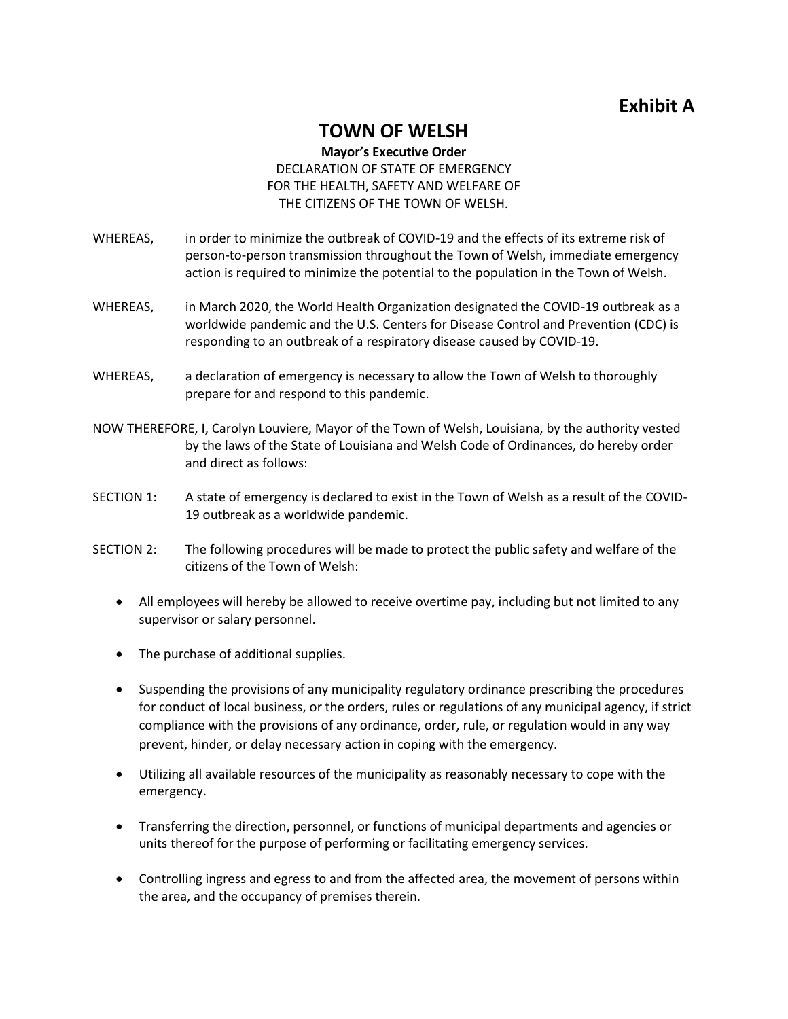## **Exhibit A**

## **TOWN OF WELSH**

## **Mayor's Executive Order** DECLARATION OF STATE OF EMERGENCY FOR THE HEALTH, SAFETY AND WELFARE OF THE CITIZENS OF THE TOWN OF WELSH.

- WHEREAS, in order to minimize the outbreak of COVID-19 and the effects of its extreme risk of person-to-person transmission throughout the Town of Welsh, immediate emergency action is required to minimize the potential to the population in the Town of Welsh.
- WHEREAS, in March 2020, the World Health Organization designated the COVID-19 outbreak as a worldwide pandemic and the U.S. Centers for Disease Control and Prevention (CDC) is responding to an outbreak of a respiratory disease caused by COVID-19.
- WHEREAS, a declaration of emergency is necessary to allow the Town of Welsh to thoroughly prepare for and respond to this pandemic.
- NOW THEREFORE, I, Carolyn Louviere, Mayor of the Town of Welsh, Louisiana, by the authority vested by the laws of the State of Louisiana and Welsh Code of Ordinances, do hereby order and direct as follows:
- SECTION 1: A state of emergency is declared to exist in the Town of Welsh as a result of the COVID-19 outbreak as a worldwide pandemic.
- SECTION 2: The following procedures will be made to protect the public safety and welfare of the citizens of the Town of Welsh:
	- All employees will hereby be allowed to receive overtime pay, including but not limited to any supervisor or salary personnel.
	- The purchase of additional supplies.
	- Suspending the provisions of any municipality regulatory ordinance prescribing the procedures for conduct of local business, or the orders, rules or regulations of any municipal agency, if strict compliance with the provisions of any ordinance, order, rule, or regulation would in any way prevent, hinder, or delay necessary action in coping with the emergency.
	- Utilizing all available resources of the municipality as reasonably necessary to cope with the emergency.
	- Transferring the direction, personnel, or functions of municipal departments and agencies or units thereof for the purpose of performing or facilitating emergency services.
	- Controlling ingress and egress to and from the affected area, the movement of persons within the area, and the occupancy of premises therein.